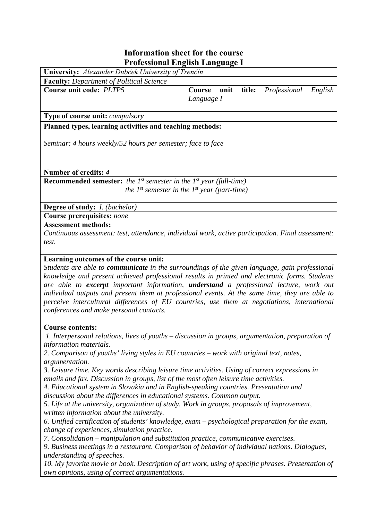## **Information sheet for the course Professional English Language I**

| University: Alexander Dubček University of Trenčín                                       |                                                                                                    |
|------------------------------------------------------------------------------------------|----------------------------------------------------------------------------------------------------|
| <b>Faculty:</b> Department of Political Science                                          |                                                                                                    |
| Course unit code: PLTP5                                                                  | unit<br>title:<br>Professional<br>English<br>Course<br>Language I                                  |
| Type of course unit: compulsory                                                          |                                                                                                    |
| Planned types, learning activities and teaching methods:                                 |                                                                                                    |
| Seminar: 4 hours weekly/52 hours per semester; face to face                              |                                                                                                    |
| Number of credits: 4                                                                     |                                                                                                    |
| <b>Recommended semester:</b> the $1^{st}$ semester in the $1^{st}$ year (full-time)      |                                                                                                    |
|                                                                                          | the $I^{st}$ semester in the $I^{st}$ year (part-time)                                             |
|                                                                                          |                                                                                                    |
| Degree of study: <i>I. (bachelor)</i>                                                    |                                                                                                    |
| <b>Course prerequisites: none</b>                                                        |                                                                                                    |
| <b>Assessment methods:</b>                                                               |                                                                                                    |
|                                                                                          | Continuous assessment: test, attendance, individual work, active participation. Final assessment:  |
| test.                                                                                    |                                                                                                    |
|                                                                                          |                                                                                                    |
| Learning outcomes of the course unit:                                                    |                                                                                                    |
|                                                                                          | Students are able to communicate in the surroundings of the given language, gain professional      |
|                                                                                          | knowledge and present achieved professional results in printed and electronic forms. Students      |
|                                                                                          | are able to excerpt important information, understand a professional lecture, work out             |
|                                                                                          | individual outputs and present them at professional events. At the same time, they are able to     |
|                                                                                          | perceive intercultural differences of EU countries, use them at negotiations, international        |
| conferences and make personal contacts.                                                  |                                                                                                    |
| <b>Course contents:</b>                                                                  |                                                                                                    |
|                                                                                          | 1. Interpersonal relations, lives of youths – discussion in groups, argumentation, preparation of  |
| information materials.                                                                   |                                                                                                    |
| 2. Comparison of youths' living styles in EU countries – work with original text, notes, |                                                                                                    |
| argumentation.                                                                           |                                                                                                    |
|                                                                                          |                                                                                                    |
|                                                                                          | 3. Leisure time. Key words describing leisure time activities. Using of correct expressions in     |
| emails and fax. Discussion in groups, list of the most often leisure time activities.    |                                                                                                    |
| 4. Educational system in Slovakia and in English-speaking countries. Presentation and    |                                                                                                    |
| discussion about the differences in educational systems. Common output.                  |                                                                                                    |
|                                                                                          | 5. Life at the university, organization of study. Work in groups, proposals of improvement,        |
| written information about the university.                                                |                                                                                                    |
| change of experiences, simulation practice.                                              | 6. Unified certification of students' knowledge, exam – psychological preparation for the exam,    |
| 7. Consolidation – manipulation and substitution practice, communicative exercises.      |                                                                                                    |
|                                                                                          | 9. Business meetings in a restaurant. Comparison of behavior of individual nations. Dialogues,     |
| understanding of speeches.                                                               |                                                                                                    |
|                                                                                          | 10. My favorite movie or book. Description of art work, using of specific phrases. Presentation of |